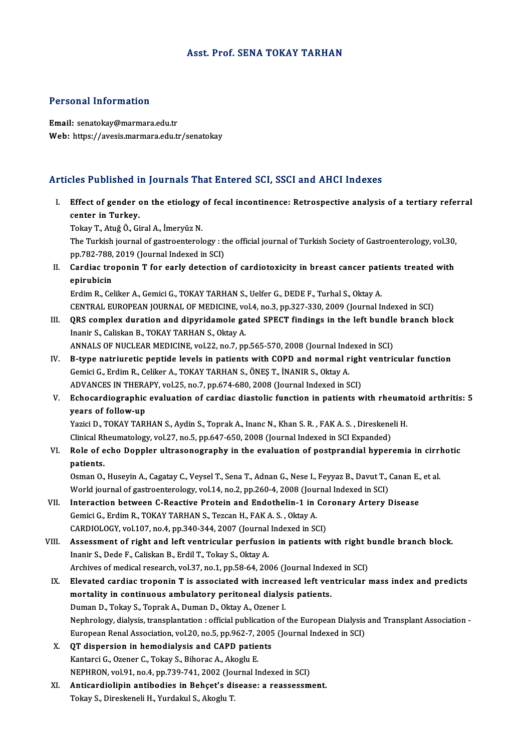### Asst. Prof. SENA TOKAY TARHAN

### Personal Information

Email: senatokay@marmara.edu.tr Web: https://avesis.marmara.edu.tr/senatokay

### Articles Published in Journals That Entered SCI, SSCI and AHCI Indexes

rticles Published in Journals That Entered SCI, SSCI and AHCI Indexes<br>I. Effect of gender on the etiology of fecal incontinence: Retrospective analysis of a tertiary referral<br>conter in Turkey center in Turkey.<br>Effect of gender of<br>Tokey.T. Anič Ö. Gi center in Turkey.<br>Tokay T., Atuğ Ö., Giral A., İmeryüz N.

center in Turkey.<br>Tokay T., Atuğ Ö., Giral A., İmeryüz N.<br>The Turkish journal of gastroenterology : the official journal of Turkish Society of Gastroenterology, vol.30,<br>nn 782, 788, 2019 (Journal Indoved in SCD) Tokay T., Atuğ Ö., Giral A., İmeryüz N.<br>The Turkish journal of gastroenterology : tl<br>pp.782-788, 2019 (Journal Indexed in SCI)<br>Cordina troponin T for early detection The Turkish journal of gastroenterology : the official journal of Turkish Society of Gastroenterology, vol.30,<br>pp.782-788, 2019 (Journal Indexed in SCI)<br>II. Cardiac troponin T for early detection of cardiotoxicity in breas

pp.782-788,<br>Cardiac tro<br>epirubicin<br>Erdim B. Co Cardiac troponin T for early detection of cardiotoxicity in breast cancer patient<br>Erdim R., Celiker A., Gemici G., TOKAY TARHAN S., Uelfer G., DEDE F., Turhal S., Oktay A.<br>CENTRAL EUROPEAN JOURNAL OF MEDICINE .val.4, no.3,

epirubicin<br>Erdim R., Celiker A., Gemici G., TOKAY TARHAN S., Uelfer G., DEDE F., Turhal S., Oktay A.<br>CENTRAL EUROPEAN JOURNAL OF MEDICINE, vol.4, no.3, pp.327-330, 2009 (Journal Indexed in SCI)<br>OBS sempley duration and din

Erdim R., Celiker A., Gemici G., TOKAY TARHAN S., Uelfer G., DEDE F., Turhal S., Oktay A.<br>CENTRAL EUROPEAN JOURNAL OF MEDICINE, vol.4, no.3, pp.327-330, 2009 (Journal Indexed in SCI)<br>III. QRS complex duration and dipyridam CENTRAL EUROPEAN JOURNAL OF MEDICINE, vo<br>QRS complex duration and dipyridamole ga<br>Inanir S., Caliskan B., TOKAY TARHAN S., Oktay A. QRS complex duration and dipyridamole gated SPECT findings in the left bundle<br>Inanir S., Caliskan B., TOKAY TARHAN S., Oktay A.<br>ANNALS OF NUCLEAR MEDICINE, vol.22, no.7, pp.565-570, 2008 (Journal Indexed in SCI)<br>B. tune pe

- Inanir S., Caliskan B., TOKAY TARHAN S., Oktay A.<br>ANNALS OF NUCLEAR MEDICINE, vol.22, no.7, pp.565-570, 2008 (Journal Indexed in SCI)<br>IV. B-type natriuretic peptide levels in patients with COPD and normal right ventricular ANNALS OF NUCLEAR MEDICINE, vol.22, no.7, pp.565-570, 2008 (Journal Index B-type natriuretic peptide levels in patients with COPD and normal r<br>Gemici G., Erdim R., Celiker A., TOKAY TARHAN S., ÖNEŞ T., İNANIR S., Oktay A.<br> B-type natriuretic peptide levels in patients with COPD and normal righ<br>Gemici G., Erdim R., Celiker A., TOKAY TARHAN S., ÖNEŞ T., İNANIR S., Oktay A.<br>ADVANCES IN THERAPY, vol.25, no.7, pp.674-680, 2008 (Journal Indexed in ADVANCES IN THERAPY, vol.25, no.7, pp.674-680, 2008 (Journal Indexed in SCI)
- Gemici G., Erdim R., Celiker A., TOKAY TARHAN S., ÖNEŞ T., İNANIR S., Oktay A.<br>ADVANCES IN THERAPY, vol.25, no.7, pp.674-680, 2008 (Journal Indexed in SCI)<br>V. Echocardiographic evaluation of cardiac diastolic function in p Echocardiographic evaluation of cardiac diastolic function in patients with rheuma<br>years of follow-up<br>Yazici D., TOKAY TARHAN S., Aydin S., Toprak A., Inanc N., Khan S. R. , FAK A. S. , Direskeneli H.<br>Clinical Phoumatalogy

years of follow-up<br>Yazici D., TOKAY TARHAN S., Aydin S., Toprak A., Inanc N., Khan S. R. , FAK A. S. , Direskene<br>Clinical Rheumatology, vol.27, no.5, pp.647-650, 2008 (Journal Indexed in SCI Expanded)<br>Bele of eshe Dennler Clinical Rheumatology, vol.27, no.5, pp.647-650, 2008 (Journal Indexed in SCI Expanded)

VI. Role of echo Doppler ultrasonography in the evaluation of postprandial hyperemia in cirrhotic

Osman O., Huseyin A., Cagatay C., Veysel T., Sena T., Adnan G., Nese I., Feyyaz B., Davut T., Canan E., et al. patients.<br>Osman O., Huseyin A., Cagatay C., Veysel T., Sena T., Adnan G., Nese I., Feyyaz B., Davut T., (<br>World journal of gastroenterology, vol.14, no.2, pp.260-4, 2008 (Journal Indexed in SCI)<br>Internation between G. Beas Osman O., Huseyin A., Cagatay C., Veysel T., Sena T., Adnan G., Nese I., Feyyaz B., Davut T., Canan E.,<br>World journal of gastroenterology, vol.14, no.2, pp.260-4, 2008 (Journal Indexed in SCI)<br>VII. Interaction between C-Re

- World journal of gastroenterology, vol.14, no.2, pp.260-4, 2008 (Journal Interaction between C-Reactive Protein and Endothelin-1 in<br>Gemici G., Erdim R., TOKAY TARHAN S., Tezcan H., FAK A.S. , Oktay A.<br>CARDIOLOCY vol.107, n Interaction between C-Reactive Protein and Endothelin-1 in Co.<br>Gemici G., Erdim R., TOKAY TARHAN S., Tezcan H., FAK A. S. , Oktay A.<br>CARDIOLOGY, vol.107, no.4, pp.340-344, 2007 (Journal Indexed in SCI) Gemici G., Erdim R., TOKAY TARHAN S., Tezcan H., FAK A. S. , Oktay A.<br>CARDIOLOGY, vol.107, no.4, pp.340-344, 2007 (Journal Indexed in SCI)<br>VIII. Assessment of right and left ventricular perfusion in patients with right bun
- CARDIOLOGY, vol.107, no.4, pp.340-344, 2007 (Journal Indexed in SCI)<br>Assessment of right and left ventricular perfusion in patients with right l<br>Inanir S., Dede F., Caliskan B., Erdil T., Tokay S., Oktay A.<br>Archives of med Assessment of right and left ventricular perfusion in patients with right **h**<br>Inanir S., Dede F., Caliskan B., Erdil T., Tokay S., Oktay A.<br>Archives of medical research, vol.37, no.1, pp.58-64, 2006 (Journal Indexed in SCI Inanir S., Dede F., Caliskan B., Erdil T., Tokay S., Oktay A.<br>Archives of medical research, vol.37, no.1, pp.58-64, 2006 (Journal Indexed in SCI)<br>IX. Elevated cardiac troponin T is associated with increased left ventricula
- Archives of medical research, vol.37, no.1, pp.58-64, 2006 (Journal Index<br>Elevated cardiac troponin T is associated with increased left ver<br>mortality in continuous ambulatory peritoneal dialysis patients.<br>Duman D. Tekay S. Elevated cardiac troponin T is associated with increa<br>mortality in continuous ambulatory peritoneal dialys<br>Duman D., Tokay S., Toprak A., Duman D., Oktay A., Ozener I.<br>Nephrology dialysis transplantation : official publica mortality in continuous ambulatory peritoneal dialysis patients.<br>Duman D., Tokay S., Toprak A., Duman D., Oktay A., Ozener I.<br>Nephrology, dialysis, transplantation : official publication of the European Dialysis and Transp Duman D., Tokay S., Toprak A., Duman D., Oktay A., Ozener I.<br>Nephrology, dialysis, transplantation : official publication of the European Dialysis<br>European Renal Association, vol.20, no.5, pp.962-7, 2005 (Journal Indexed i European Renal Association, vol.20, no.5, pp.962-7, 2005 (Journal Indexed in SCI) X. QT dispersion in hemodialysis and CAPD patients
- KantarciG.,Ozener C.,Tokay S.,BihoracA.,AkogluE. NEPHRON, vol.91, no.4, pp.739-741, 2002 (Journal Indexed in SCI)
- XI. Anticardiolipin antibodies in Behçet's disease: a reassessment. Tokay S., Direskeneli H., Yurdakul S., Akoglu T.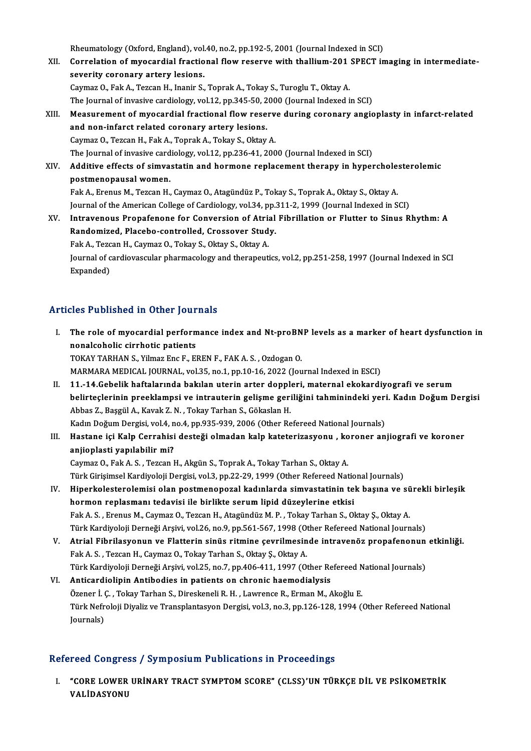Rheumatology (Oxford, England), vol.40, no.2, pp.192-5, 2001 (Journal Indexed in SCI)

- Rheumatology (Oxford, England), vol.40, no.2, pp.192-5, 2001 (Journal Indexed in SCI)<br>XII. Correlation of myocardial fractional flow reserve with thallium-201 SPECT imaging in intermediate-Rheumatology (Oxford, England), vol.<br>Correlation of myocardial fractio<br>severity coronary artery lesions.<br>Coumar O. Fol: A. Taggan H. Inonin S. Correlation of myocardial fractional flow reserve with thallium-201<br>severity coronary artery lesions.<br>Caymaz O., Fak A., Tezcan H., Inanir S., Toprak A., Tokay S., Turoglu T., Oktay A.<br>The Journal of invesive cardiology vo severity coronary artery lesions.<br>Caymaz O., Fak A., Tezcan H., Inanir S., Toprak A., Tokay S., Turoglu T., Oktay A.<br>The Journal of invasive cardiology, vol.12, pp.345-50, 2000 (Journal Indexed in SCI)
	-
- Caymaz O., Fak A., Tezcan H., Inanir S., Toprak A., Tokay S., Turoglu T., Oktay A.<br>The Journal of invasive cardiology, vol.12, pp.345-50, 2000 (Journal Indexed in SCI)<br>XIII. Measurement of myocardial fractional flow reserv and non-infarct related coronary artery lesions.<br>Caymaz O., Tezcan H., Fak A., Toprak A., Tokay S., Oktay A. Measurement of myocardial fractional flow reserv<br>and non-infarct related coronary artery lesions.<br>Caymaz O., Tezcan H., Fak A., Toprak A., Tokay S., Oktay A.<br>The Journal of invesive sardialegy vol 12, nn 226,41,200

The Journal of invasive cardiology, vol.12, pp.236-41, 2000 (Journal Indexed in SCI)

Caymaz O., Tezcan H., Fak A., Toprak A., Tokay S., Oktay A.<br>The Journal of invasive cardiology, vol.12, pp.236-41, 2000 (Journal Indexed in SCI)<br>XIV. Additive effects of simvastatin and hormone replacement therapy in hyper The Journal of invasive card<br>Additive effects of simva<br>postmenopausal women.<br>Fek A. Frenue M. Terson H. Additive effects of simvastatin and hormone replacement therapy in hyperchole:<br>postmenopausal women.<br>Fak A., Erenus M., Tezcan H., Caymaz O., Atagündüz P., Tokay S., Toprak A., Oktay S., Oktay A.<br>Journal of the American Co

postmenopausal women.<br>Fak A., Erenus M., Tezcan H., Caymaz O., Atagündüz P., Tokay S., Toprak A., Oktay S., Oktay A.<br>Journal of the American College of Cardiology, vol.34, pp.311-2, 1999 (Journal Indexed in SCI) Fak A., Erenus M., Tezcan H., Caymaz O., Atagündüz P., Tokay S., Toprak A., Oktay S., Oktay A.<br>Journal of the American College of Cardiology, vol.34, pp.311-2, 1999 (Journal Indexed in SCI)<br>XV. Intravenous Propafenone for

Journal of the American College of Cardiology, vol.34, pp.<br>Intravenous Propafenone for Conversion of Atrial<br>Randomized, Placebo-controlled, Crossover Study.<br>Fek A. Tersen H. Coumer O. Tokey S. Oltoy S. Oltoy A. Intravenous Propafenone for Conversion of Atria<br>Randomized, Placebo-controlled, Crossover Stud<br>Fak A., Tezcan H., Caymaz O., Tokay S., Oktay S., Oktay A.<br>Journal of cardiouscrular phermasology and therapout: Randomized, Placebo-controlled, Crossover Study.<br>Fak A., Tezcan H., Caymaz O., Tokay S., Oktay S., Oktay A.<br>Journal of cardiovascular pharmacology and therapeutics, vol.2, pp.251-258, 1997 (Journal Indexed in SCI<br>Expanded) Fak A., Tezcan H., Caymaz O., Tokay S., Oktay S., Oktay A.

### Articles Published in Other Journals

rticles Published in Other Journals<br>I. The role of myocardial performance index and Nt-proBNP levels as a marker of heart dysfunction in<br>Reproducibalis signifiation patients non-transference in Sensi Journal<br>The role of myocardial perform<br>nonalcoholic cirrhotic patients<br>TOKAV TABHAN S. Vilmaz Eng E. El nonalcoholic cirrhotic patients<br>TOKAY TARHAN S., Yilmaz Enc F., EREN F., FAK A. S. , Ozdogan O. MARMARA MEDICAL JOURNAL, vol.35, no.1, pp.10-16, 2022 (Journal Indexed in ESCI) I TOKAY TARHAN S., Yilmaz Enc F., EREN F., FAK A. S. , Ozdogan O.<br>MARMARA MEDICAL JOURNAL, vol.35, no.1, pp.10-16, 2022 (Journal Indexed in ESCI)<br>II. 11.-14.Gebelik haftalarında bakılan uterin arter doppleri, maternal ekok MARMARA MEDICAL JOURNAL, vol.35, no.1, pp.10-16, 2022 (Journal Indexed in ESCI)<br>11.-14.Gebelik haftalarında bakılan uterin arter doppleri, maternal ekokardiyografi ve serum<br>belirteçlerinin preeklampsi ve intrauterin gelişm 11.-14.Gebelik haftalarında bakılan uterin arter dopple<br>belirteçlerinin preeklampsi ve intrauterin gelişme geri<br>Abbas Z., Başgül A., Kavak Z.N., Tokay Tarhan S., Gökaslan H.<br>Kadın Doğum Dergisi val 4.no 4.np 925.929.2006 ( belirteçlerinin preeklampsi ve intrauterin gelişme geriliğini tahminindeki yeri<br>Abbas Z., Başgül A., Kavak Z. N. , Tokay Tarhan S., Gökaslan H.<br>Kadın Doğum Dergisi, vol.4, no.4, pp.935-939, 2006 (Other Refereed National Jo

Abbas Z., Başgül A., Kavak Z. N. , Tokay Tarhan S., Gökaslan H.<br>Kadın Doğum Dergisi, vol.4, no.4, pp.935-939, 2006 (Other Refereed National Journals)<br>III. Hastane içi Kalp Cerrahisi desteği olmadan kalp kateterizasyonu Kadın Doğum Dergisi, vol.4, n<br>Hastane içi Kalp Cerrahisi<br>anjioplasti yapılabilir mi?<br>Ceymer O. Fek A.S. Tergen L Hastane içi Kalp Cerrahisi desteği olmadan kalp kateterizasyonu , ko<br>anjioplasti yapılabilir mi?<br>Caymaz O., Fak A. S. , Tezcan H., Akgün S., Toprak A., Tokay Tarhan S., Oktay A.<br>Türk Girisimsel Kardivaleji Dergisi val 3. n anjioplasti yapılabilir mi?<br>Caymaz O., Fak A. S. , Tezcan H., Akgün S., Toprak A., Tokay Tarhan S., Oktay A.<br>Türk Girişimsel Kardiyoloji Dergisi, vol.3, pp.22-29, 1999 (Other Refereed National Journals)

- Caymaz O., Fak A. S. , Tezcan H., Akgün S., Toprak A., Tokay Tarhan S., Oktay A.<br>Türk Girişimsel Kardiyoloji Dergisi, vol.3, pp.22-29, 1999 (Other Refereed National Journals)<br>IV. Hiperkolesterolemisi olan postmenopozal kad Türk Girişimsel Kardiyoloji Dergisi, vol.3, pp.22-29, 1999 (Other Refereed National Hiperkolesterolemisi olan postmenopozal kadınlarda simvastatinin te<br>hormon replasmanı tedavisi ile birlikte serum lipid düzeylerine etkisi Hiperkolesterolemisi olan postmenopozal kadınlarda simvastatinin tek başına ve sü<br>hormon replasmanı tedavisi ile birlikte serum lipid düzeylerine etkisi<br>Fak A. S., Erenus M., Caymaz O., Tezcan H., Atagündüz M. P., Tokay Ta hormon replasmanı tedavisi ile birlikte serum lipid düzeylerine etkisi<br>Fak A. S. , Erenus M., Caymaz O., Tezcan H., Atagündüz M. P. , Tokay Tarhan S., Oktay Ş., Oktay A.<br>Türk Kardiyoloji Derneği Arşivi, vol.26, no.9, pp.56 Fak A. S. , Erenus M., Caymaz O., Tezcan H., Atagündüz M. P. , Tokay Tarhan S., Oktay Ş., Oktay A.<br>Türk Kardiyoloji Derneği Arşivi, vol.26, no.9, pp.561-567, 1998 (Other Refereed National Journals)<br>V. Atrial Fibrilasyonun
- Türk Kardiyoloji Derneği Arşivi, vol.26, no.9, pp.561-567, 1998 (Otherial Fibrilasyonun ve Flatterin sinüs ritmine çevrilmesin<br>Fak A. S., Tezcan H., Caymaz O., Tokay Tarhan S., Oktay Ş., Oktay A.<br>Türk Kardiyaleji Derneği A Atrial Fibrilasyonun ve Flatterin sinüs ritmine çevrilmesinde intravenöz propafenonun<br>Fak A. S. , Tezcan H., Caymaz O., Tokay Tarhan S., Oktay Ş., Oktay A.<br>Türk Kardiyoloji Derneği Arşivi, vol.25, no.7, pp.406-411, 1997 (O Fak A. S. , Tezcan H., Caymaz O., Tokay Tarhan S., Oktay Ş., Oktay A.<br>Türk Kardiyoloji Derneği Arşivi, vol.25, no.7, pp.406-411, 1997 (Other Refereed N<br>VI. Anticardiolipin Antibodies in patients on chronic haemodialysis<br>Öz Türk Kardiyoloji Derneği Arşivi, vol.25, no.7, pp.406-411, 1997 (Other Refereed National Journals)
- Anticardiolipin Antibodies in patients on chronic haemodialysis<br>Özener İ. Ç. , Tokay Tarhan S., Direskeneli R. H. , Lawrence R., Erman M., Akoğlu E.<br>Türk Nefroloji Diyaliz ve Transplantasyon Dergisi, vol.3, no.3, pp.126-12 Özener İ. (<br>Türk Nefr<br>Journals)

# Journals)<br>Refereed Congress / Symposium Publications in Proceedings

efereed Congress / Symposium Publications in Proceedings<br>I. "CORE LOWER URİNARY TRACT SYMPTOM SCORE" (CLSS)'UN TÜRKÇE DİL VE PSİKOMETRİK<br>VALİDASYONU 1992 YORGI<br>"CORE LOWER<br>VALİDASYONU